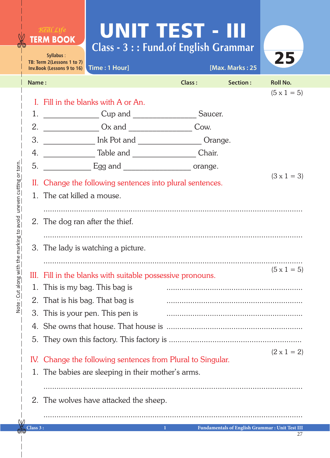## UNIT TEST - III **Class - 3 : : Fund.of English Grammar**

 $R^{\text{VIKRAW}}_{\rho}$ r ram $f$ r f $f_{\rho}$ **TERM BOOK** 

| Syllabus:<br>25                    |                                                                      |                                          |          |                 |                    |  |
|------------------------------------|----------------------------------------------------------------------|------------------------------------------|----------|-----------------|--------------------|--|
|                                    | TB: Term 2(Lessons 1 to 7)                                           | Inv.Book (Lessons 9 to 16) Time: 1 Hour] |          | [Max. Marks: 25 |                    |  |
| Name:                              |                                                                      | <b>Class:</b>                            | Section: | <b>Roll No.</b> |                    |  |
|                                    |                                                                      |                                          |          |                 | $(5 \times 1 = 5)$ |  |
|                                    | I. Fill in the blanks with A or An.                                  |                                          |          |                 |                    |  |
| 1.                                 | Saucer.                                                              |                                          |          |                 |                    |  |
| 2.                                 | $\frac{1}{2}$ Ox and $\frac{1}{2}$<br>Cow.                           |                                          |          |                 |                    |  |
| 3.                                 |                                                                      |                                          |          |                 |                    |  |
| 4.                                 | Chair.                                                               |                                          |          |                 |                    |  |
| 5.                                 | $\frac{1}{2}$ Egg and $\frac{1}{2}$<br>orange.<br>$(3 \times 1 = 3)$ |                                          |          |                 |                    |  |
|                                    | II. Change the following sentences into plural sentences.            |                                          |          |                 |                    |  |
|                                    | 1. The cat killed a mouse.                                           |                                          |          |                 |                    |  |
|                                    |                                                                      |                                          |          |                 |                    |  |
|                                    |                                                                      | 2. The dog ran after the thief.          |          |                 |                    |  |
|                                    |                                                                      |                                          |          |                 |                    |  |
| 3. The lady is watching a picture. |                                                                      |                                          |          |                 |                    |  |
|                                    |                                                                      |                                          |          |                 |                    |  |
|                                    | III. Fill in the blanks with suitable possessive pronouns.           |                                          |          |                 | $(5 \times 1 = 5)$ |  |
|                                    | 1. This is my bag. This bag is                                       |                                          |          |                 |                    |  |
|                                    | 2. That is his bag. That bag is                                      |                                          |          |                 |                    |  |
|                                    | 3. This is your pen. This pen is                                     |                                          |          |                 |                    |  |
|                                    |                                                                      |                                          |          |                 |                    |  |
|                                    |                                                                      |                                          |          |                 |                    |  |
|                                    |                                                                      |                                          |          |                 | $(2 \times 1 = 2)$ |  |
|                                    | IV. Change the following sentences from Plural to Singular.          |                                          |          |                 |                    |  |
|                                    | 1. The babies are sleeping in their mother's arms.                   |                                          |          |                 |                    |  |
|                                    |                                                                      |                                          |          |                 |                    |  |
|                                    | 2. The wolves have attacked the sheep.                               |                                          |          |                 |                    |  |
|                                    |                                                                      |                                          |          |                 |                    |  |

 $W$ 

**Class 3 : 1 Fundamentals of English Grammar : Unit Test III**